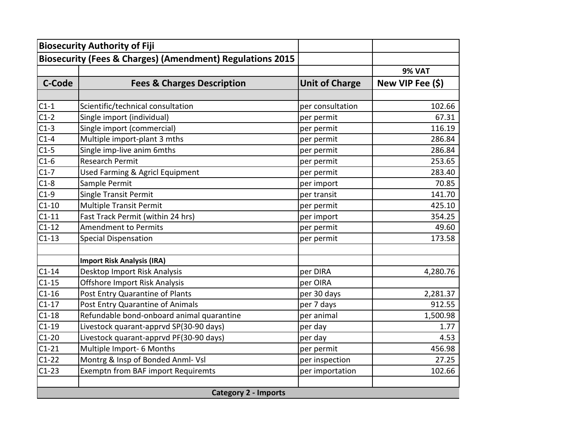|                             | <b>Biosecurity Authority of Fiji</b>                                 |                       |                  |
|-----------------------------|----------------------------------------------------------------------|-----------------------|------------------|
|                             | <b>Biosecurity (Fees &amp; Charges) (Amendment) Regulations 2015</b> |                       |                  |
|                             |                                                                      |                       | <b>9% VAT</b>    |
| <b>C-Code</b>               | <b>Fees &amp; Charges Description</b>                                | <b>Unit of Charge</b> | New VIP Fee (\$) |
|                             |                                                                      |                       |                  |
| $C1-1$                      | Scientific/technical consultation                                    | per consultation      | 102.66           |
| $C1-2$                      | Single import (individual)                                           | per permit            | 67.31            |
| $C1-3$                      | Single import (commercial)                                           | per permit            | 116.19           |
| $C1-4$                      | Multiple import-plant 3 mths                                         | per permit            | 286.84           |
| $C1-5$                      | Single imp-live anim 6mths                                           | per permit            | 286.84           |
| $C1-6$                      | <b>Research Permit</b>                                               | per permit            | 253.65           |
| $C1-7$                      | Used Farming & Agricl Equipment                                      | per permit            | 283.40           |
| $C1-8$                      | Sample Permit                                                        | per import            | 70.85            |
| $C1-9$                      | <b>Single Transit Permit</b>                                         | per transit           | 141.70           |
| $C1-10$                     | <b>Multiple Transit Permit</b>                                       | per permit            | 425.10           |
| $C1-11$                     | Fast Track Permit (within 24 hrs)                                    | per import            | 354.25           |
| $C1-12$                     | <b>Amendment to Permits</b>                                          | per permit            | 49.60            |
| $C1-13$                     | <b>Special Dispensation</b>                                          | per permit            | 173.58           |
|                             |                                                                      |                       |                  |
|                             | <b>Import Risk Analysis (IRA)</b>                                    |                       |                  |
| $C1-14$                     | Desktop Import Risk Analysis                                         | per DIRA              | 4,280.76         |
| $C1-15$                     | Offshore Import Risk Analysis                                        | per OIRA              |                  |
| $C1-16$                     | Post Entry Quarantine of Plants                                      | per 30 days           | 2,281.37         |
| $C1-17$                     | Post Entry Quarantine of Animals                                     | per 7 days            | 912.55           |
| $C1-18$                     | Refundable bond-onboard animal quarantine                            | per animal            | 1,500.98         |
| $C1-19$                     | Livestock quarant-apprvd SP(30-90 days)                              | per day               | 1.77             |
| $C1-20$                     | Livestock quarant-apprvd PF(30-90 days)                              | per day               | 4.53             |
| $C1-21$                     | Multiple Import- 6 Months                                            | per permit            | 456.98           |
| $C1-22$                     | Montrg & Insp of Bonded Anml- Vsl                                    | per inspection        | 27.25            |
| $C1-23$                     | <b>Exemptn from BAF import Requiremts</b>                            | per importation       | 102.66           |
|                             |                                                                      |                       |                  |
| <b>Category 2 - Imports</b> |                                                                      |                       |                  |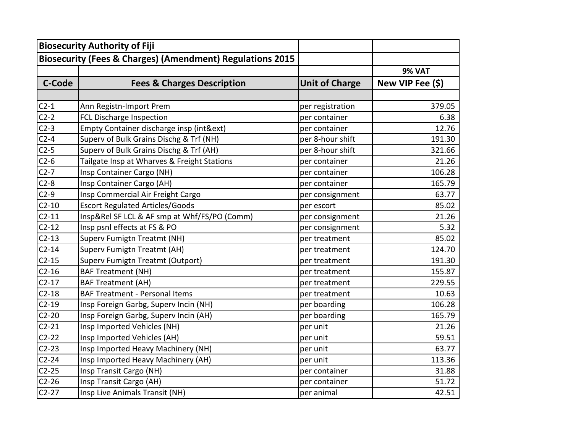| <b>Biosecurity Authority of Fiji</b>                                 |                                              |                       |                  |
|----------------------------------------------------------------------|----------------------------------------------|-----------------------|------------------|
| <b>Biosecurity (Fees &amp; Charges) (Amendment) Regulations 2015</b> |                                              |                       |                  |
|                                                                      |                                              |                       | <b>9% VAT</b>    |
| C-Code                                                               | <b>Fees &amp; Charges Description</b>        | <b>Unit of Charge</b> | New VIP Fee (\$) |
|                                                                      |                                              |                       |                  |
| $C2-1$                                                               | Ann Registn-Import Prem                      | per registration      | 379.05           |
| $C2-2$                                                               | FCL Discharge Inspection                     | per container         | 6.38             |
| $C2-3$                                                               | Empty Container discharge insp (int&ext)     | per container         | 12.76            |
| $C2-4$                                                               | Superv of Bulk Grains Dischg & Trf (NH)      | per 8-hour shift      | 191.30           |
| $C2-5$                                                               | Superv of Bulk Grains Dischg & Trf (AH)      | per 8-hour shift      | 321.66           |
| $C2-6$                                                               | Tailgate Insp at Wharves & Freight Stations  | per container         | 21.26            |
| $C2-7$                                                               | Insp Container Cargo (NH)                    | per container         | 106.28           |
| $C2-8$                                                               | Insp Container Cargo (AH)                    | per container         | 165.79           |
| $C2-9$                                                               | Insp Commercial Air Freight Cargo            | per consignment       | 63.77            |
| $C2-10$                                                              | <b>Escort Regulated Articles/Goods</b>       | per escort            | 85.02            |
| $C2-11$                                                              | Insp&Rel SF LCL & AF smp at Whf/FS/PO (Comm) | per consignment       | 21.26            |
| $C2-12$                                                              | Insp psnl effects at FS & PO                 | per consignment       | 5.32             |
| $C2-13$                                                              | Superv Fumigtn Treatmt (NH)                  | per treatment         | 85.02            |
| $C2-14$                                                              | Superv Fumigtn Treatmt (AH)                  | per treatment         | 124.70           |
| $C2-15$                                                              | Superv Fumigtn Treatmt (Outport)             | per treatment         | 191.30           |
| $C2-16$                                                              | <b>BAF Treatment (NH)</b>                    | per treatment         | 155.87           |
| $C2-17$                                                              | <b>BAF Treatment (AH)</b>                    | per treatment         | 229.55           |
| $C2-18$                                                              | <b>BAF Treatment - Personal Items</b>        | per treatment         | 10.63            |
| $C2-19$                                                              | Insp Foreign Garbg, Superv Incin (NH)        | per boarding          | 106.28           |
| $C2-20$                                                              | Insp Foreign Garbg, Superv Incin (AH)        | per boarding          | 165.79           |
| $C2-21$                                                              | Insp Imported Vehicles (NH)                  | per unit              | 21.26            |
| $C2-22$                                                              | Insp Imported Vehicles (AH)                  | per unit              | 59.51            |
| $C2-23$                                                              | Insp Imported Heavy Machinery (NH)           | per unit              | 63.77            |
| $C2-24$                                                              | Insp Imported Heavy Machinery (AH)           | per unit              | 113.36           |
| $C2-25$                                                              | Insp Transit Cargo (NH)                      | per container         | 31.88            |
| $C2-26$                                                              | Insp Transit Cargo (AH)                      | per container         | 51.72            |
| $C2-27$                                                              | Insp Live Animals Transit (NH)               | per animal            | 42.51            |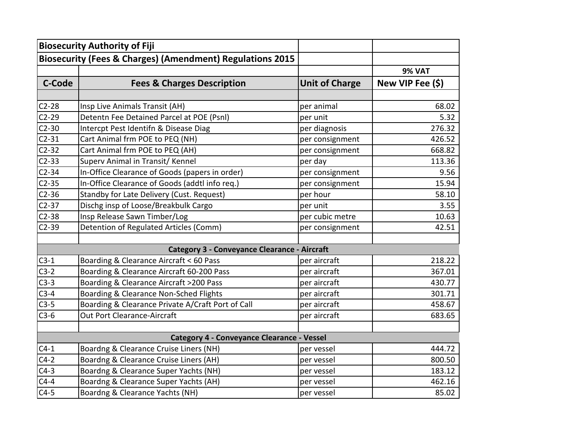|               | <b>Biosecurity Authority of Fiji</b>                                 |                       |                  |
|---------------|----------------------------------------------------------------------|-----------------------|------------------|
|               | <b>Biosecurity (Fees &amp; Charges) (Amendment) Regulations 2015</b> |                       |                  |
|               |                                                                      |                       | <b>9% VAT</b>    |
| <b>C-Code</b> | <b>Fees &amp; Charges Description</b>                                | <b>Unit of Charge</b> | New VIP Fee (\$) |
|               |                                                                      |                       |                  |
| $C2-28$       | Insp Live Animals Transit (AH)                                       | per animal            | 68.02            |
| $C2-29$       | Detentn Fee Detained Parcel at POE (Psnl)                            | per unit              | 5.32             |
| $C2-30$       | Intercpt Pest Identifn & Disease Diag                                | per diagnosis         | 276.32           |
| $C2-31$       | Cart Animal frm POE to PEQ (NH)                                      | per consignment       | 426.52           |
| $C2-32$       | Cart Animal frm POE to PEQ (AH)                                      | per consignment       | 668.82           |
| $C2-33$       | Superv Animal in Transit/ Kennel                                     | per day               | 113.36           |
| $C2-34$       | In-Office Clearance of Goods (papers in order)                       | per consignment       | 9.56             |
| $C2-35$       | In-Office Clearance of Goods (addtl info req.)                       | per consignment       | 15.94            |
| $C2-36$       | Standby for Late Delivery (Cust. Request)                            | per hour              | 58.10            |
| $C2-37$       | Dischg insp of Loose/Breakbulk Cargo                                 | per unit              | 3.55             |
| $C2-38$       | Insp Release Sawn Timber/Log                                         | per cubic metre       | 10.63            |
| $C2-39$       | Detention of Regulated Articles (Comm)                               | per consignment       | 42.51            |
|               |                                                                      |                       |                  |
|               | <b>Category 3 - Conveyance Clearance - Aircraft</b>                  |                       |                  |
| $C3-1$        | Boarding & Clearance Aircraft < 60 Pass                              | per aircraft          | 218.22           |
| $C3-2$        | Boarding & Clearance Aircraft 60-200 Pass                            | per aircraft          | 367.01           |
| $C3-3$        | Boarding & Clearance Aircraft >200 Pass                              | per aircraft          | 430.77           |
| $C3-4$        | Boarding & Clearance Non-Sched Flights                               | per aircraft          | 301.71           |
| $C3-5$        | Boarding & Clearance Private A/Craft Port of Call                    | per aircraft          | 458.67           |
| $C3-6$        | Out Port Clearance-Aircraft                                          | per aircraft          | 683.65           |
|               | <b>Category 4 - Conveyance Clearance - Vessel</b>                    |                       |                  |
| $C4-1$        | Boardng & Clearance Cruise Liners (NH)                               | per vessel            | 444.72           |
| $C4-2$        | Boardng & Clearance Cruise Liners (AH)                               | per vessel            | 800.50           |
| $C4-3$        | Boardng & Clearance Super Yachts (NH)                                | per vessel            | 183.12           |
| $C4-4$        | Boardng & Clearance Super Yachts (AH)                                | per vessel            | 462.16           |
| $C4-5$        | Boardng & Clearance Yachts (NH)                                      | per vessel            | 85.02            |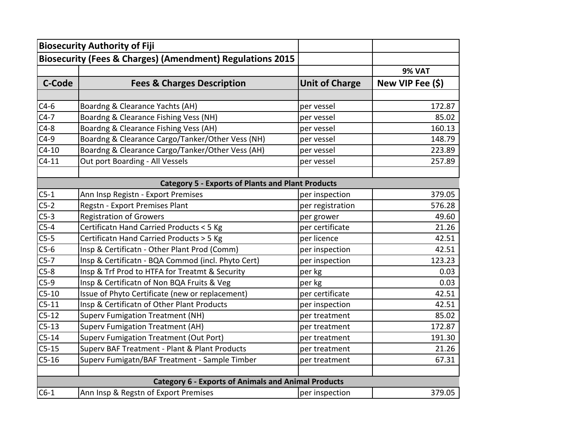|                                                            | <b>Biosecurity Authority of Fiji</b>                                 |                       |                  |
|------------------------------------------------------------|----------------------------------------------------------------------|-----------------------|------------------|
|                                                            | <b>Biosecurity (Fees &amp; Charges) (Amendment) Regulations 2015</b> |                       |                  |
|                                                            |                                                                      |                       | <b>9% VAT</b>    |
| <b>C-Code</b>                                              | <b>Fees &amp; Charges Description</b>                                | <b>Unit of Charge</b> | New VIP Fee (\$) |
|                                                            |                                                                      |                       |                  |
| $C4-6$                                                     | Boardng & Clearance Yachts (AH)                                      | per vessel            | 172.87           |
| $C4-7$                                                     | Boardng & Clearance Fishing Vess (NH)                                | per vessel            | 85.02            |
| $C4-8$                                                     | Boardng & Clearance Fishing Vess (AH)                                | per vessel            | 160.13           |
| $C4-9$                                                     | Boardng & Clearance Cargo/Tanker/Other Vess (NH)                     | per vessel            | 148.79           |
| $C4-10$                                                    | Boardng & Clearance Cargo/Tanker/Other Vess (AH)                     | per vessel            | 223.89           |
| $C4-11$                                                    | Out port Boarding - All Vessels                                      | per vessel            | 257.89           |
|                                                            |                                                                      |                       |                  |
|                                                            | <b>Category 5 - Exports of Plants and Plant Products</b>             |                       |                  |
| $C5-1$                                                     | Ann Insp Registn - Export Premises                                   | per inspection        | 379.05           |
| $C5-2$                                                     | Regstn - Export Premises Plant                                       | per registration      | 576.28           |
| $C5-3$                                                     | <b>Registration of Growers</b>                                       | per grower            | 49.60            |
| $C5-4$                                                     | Certificatn Hand Carried Products < 5 Kg                             | per certificate       | 21.26            |
| $C5-5$                                                     | Certificatn Hand Carried Products > 5 Kg                             | per licence           | 42.51            |
| $C5-6$                                                     | Insp & Certificatn - Other Plant Prod (Comm)                         | per inspection        | 42.51            |
| $C5-7$                                                     | Insp & Certificatn - BQA Commod (incl. Phyto Cert)                   | per inspection        | 123.23           |
| $C5-8$                                                     | Insp & Trf Prod to HTFA for Treatmt & Security                       | per kg                | 0.03             |
| $C5-9$                                                     | Insp & Certificatn of Non BQA Fruits & Veg                           | per kg                | 0.03             |
| $C5-10$                                                    | Issue of Phyto Certificate (new or replacement)                      | per certificate       | 42.51            |
| $C5-11$                                                    | Insp & Certificatn of Other Plant Products                           | per inspection        | 42.51            |
| $C5-12$                                                    | <b>Superv Fumigation Treatment (NH)</b>                              | per treatment         | 85.02            |
| $C5-13$                                                    | Superv Fumigation Treatment (AH)                                     | per treatment         | 172.87           |
| $C5-14$                                                    | Superv Fumigation Treatment (Out Port)                               | per treatment         | 191.30           |
| $C5-15$                                                    | Superv BAF Treatment - Plant & Plant Products                        | per treatment         | 21.26            |
| $C5-16$                                                    | Superv Fumigatn/BAF Treatment - Sample Timber                        | per treatment         | 67.31            |
|                                                            |                                                                      |                       |                  |
| <b>Category 6 - Exports of Animals and Animal Products</b> |                                                                      |                       |                  |
| $C6-1$                                                     | Ann Insp & Regstn of Export Premises                                 | per inspection        | 379.05           |